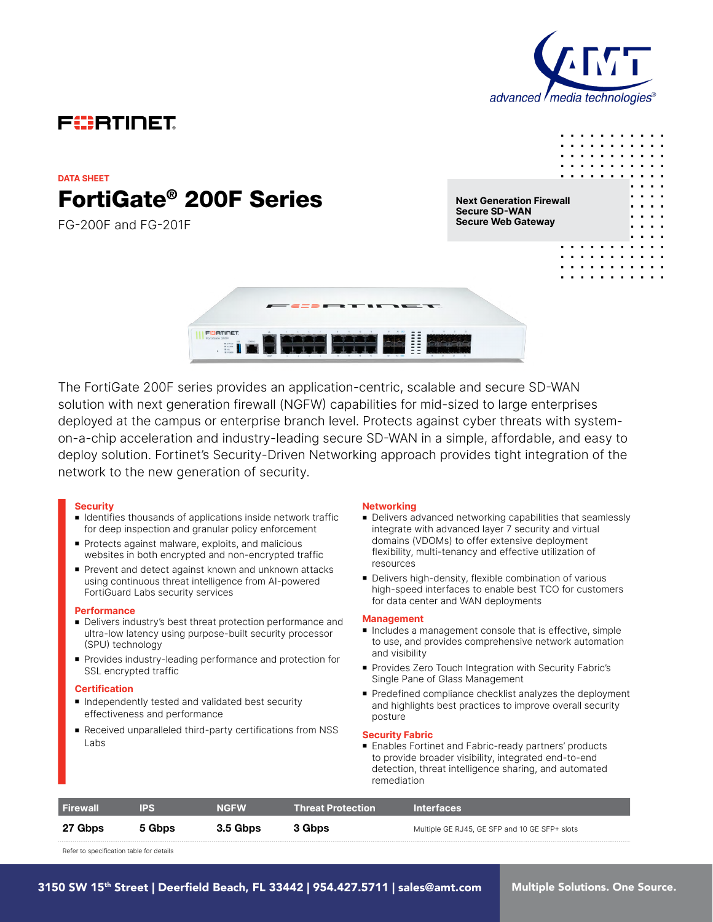

 $\blacksquare$  $\blacksquare$  $\mathbf{a}$  ,  $\mathbf{a}$  ,  $\mathbf{a}$ 

 $\mathbf{a} \cdot \mathbf{a} \cdot \mathbf{a} \cdot \mathbf{a}$  $\mathbf{r}$ 

# FURTIDET

# FortiGate® 200F Series **DATA SHEET**

FG-200F and FG-201F

**Next Generation Firewall Secure SD-WAN Secure Web Gateway**



The FortiGate 200F series provides an application-centric, scalable and secure SD-WAN solution with next generation firewall (NGFW) capabilities for mid-sized to large enterprises deployed at the campus or enterprise branch level. Protects against cyber threats with systemon-a-chip acceleration and industry-leading secure SD-WAN in a simple, affordable, and easy to deploy solution. Fortinet's Security-Driven Networking approach provides tight integration of the network to the new generation of security.

#### **Security**

- Identifies thousands of applications inside network traffic for deep inspection and granular policy enforcement
- **Protects against malware, exploits, and malicious** websites in both encrypted and non-encrypted traffic
- Prevent and detect against known and unknown attacks using continuous threat intelligence from AI-powered FortiGuard Labs security services

#### **Performance**

- <sup>n</sup> Delivers industry's best threat protection performance and ultra-low latency using purpose-built security processor (SPU) technology
- <sup>n</sup> Provides industry-leading performance and protection for SSL encrypted traffic

#### **Certification**

- $\blacksquare$  Independently tested and validated best security effectiveness and performance
- Received unparalleled third-party certifications from NSS Labs

#### **Networking**

- Delivers advanced networking capabilities that seamlessly integrate with advanced layer 7 security and virtual domains (VDOMs) to offer extensive deployment flexibility, multi-tenancy and effective utilization of resources
- Delivers high-density, flexible combination of various high-speed interfaces to enable best TCO for customers for data center and WAN deployments

#### **Management**

- $\blacksquare$  Includes a management console that is effective, simple to use, and provides comprehensive network automation and visibility
- Provides Zero Touch Integration with Security Fabric's Single Pane of Glass Management
- **Predefined compliance checklist analyzes the deployment** and highlights best practices to improve overall security posture

#### **Security Fabric**

■ Enables Fortinet and Fabric-ready partners' products to provide broader visibility, integrated end-to-end detection, threat intelligence sharing, and automated remediation

| <b>Firewall</b> | <b>IPS</b> | <b>NGFW</b> | <b>Threat Protection</b> | <b>Interfaces</b>                             |
|-----------------|------------|-------------|--------------------------|-----------------------------------------------|
| 27 Gbps         | 5 Gbps     | 3.5 Gbps    | 3 Gbps                   | Multiple GE RJ45, GE SFP and 10 GE SFP+ slots |

Refer to specification table for details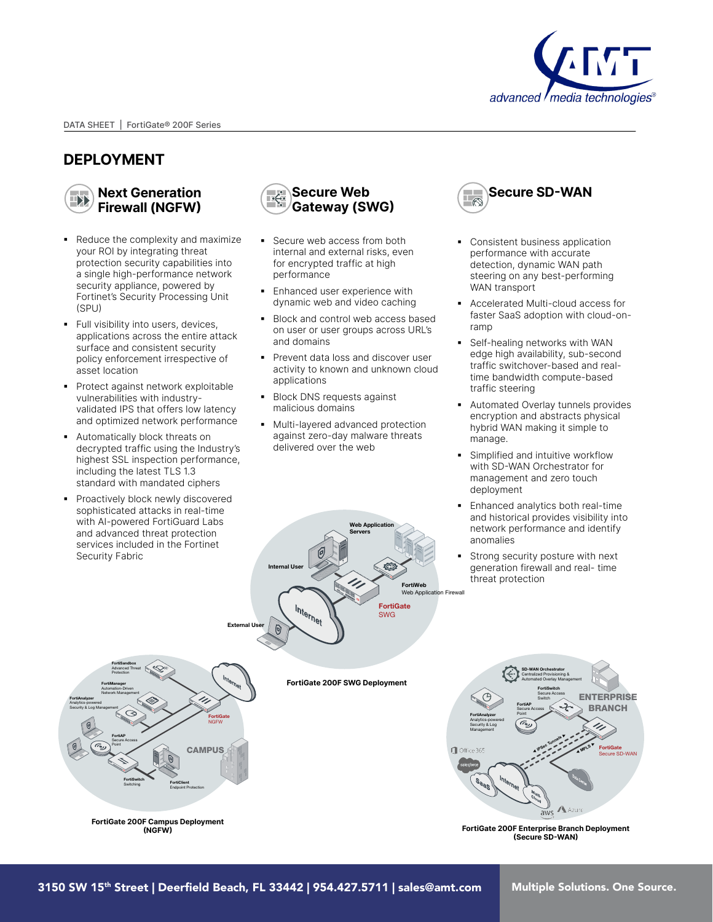

## **DEPLOYMENT**

**Next Generation**  T)} **Firewall (NGFW)**

- Reduce the complexity and maximize your ROI by integrating threat protection security capabilities into a single high-performance network security appliance, powered by Fortinet's Security Processing Unit (SPU)
- § Full visibility into users, devices, applications across the entire attack surface and consistent security policy enforcement irrespective of asset location
- Protect against network exploitable vulnerabilities with industryvalidated IPS that offers low latency and optimized network performance
- § Automatically block threats on decrypted traffic using the Industry's highest SSL inspection performance, including the latest TLS 1.3 standard with mandated ciphers
- § Proactively block newly discovered sophisticated attacks in real-time with AI-powered FortiGuard Labs and advanced threat protection services included in the Fortinet Security Fabric



- Secure web access from both internal and external risks, even for encrypted traffic at high performance
- **Enhanced user experience with** dynamic web and video caching
- § Block and control web access based on user or user groups across URL's and domains
- § Prevent data loss and discover user activity to known and unknown cloud applications
- § Block DNS requests against malicious domains
- § Multi-layered advanced protection against zero-day malware threats delivered over the web



- Consistent business application performance with accurate detection, dynamic WAN path steering on any best-performing WAN transport
- § Accelerated Multi-cloud access for faster SaaS adoption with cloud-onramp
- Self-healing networks with WAN edge high availability, sub-second traffic switchover-based and realtime bandwidth compute-based traffic steering
- § Automated Overlay tunnels provides encryption and abstracts physical hybrid WAN making it simple to manage.
- Simplified and intuitive workflow with SD-WAN Orchestrator for management and zero touch deployment
- § Enhanced analytics both real-time and historical provides visibility into network performance and identify anomalies
- Strong security posture with next generation firewall and real- time threat protection





**FortiGate 200F Campus Deployment (NGFW)**

**FortiGate 200F SWG Deployment**



**FortiGate 200F Enterprise Branch Deployment (Secure SD-WAN)**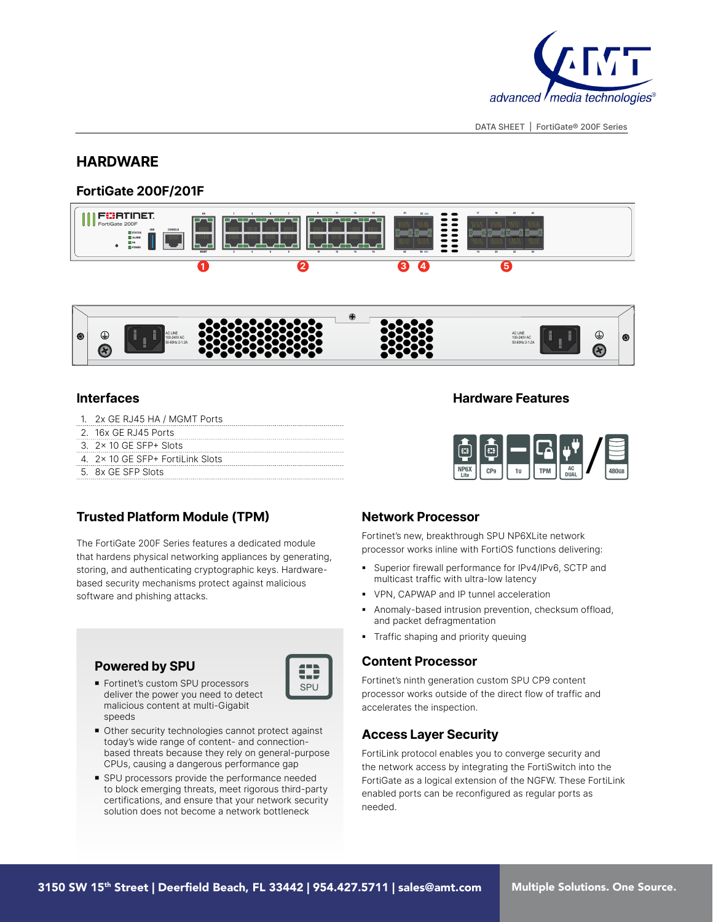

### **HARDWARE**

### **FortiGate 200F/201F**





#### **Interfaces Hardware Features**

- 1. 2x GE RJ45 HA / MGMT Ports
- 2. 16x GE RJ45 Ports
- 3. 2x 10 GE SFP+ Slots
- 4. 2x 10 GE SFP+ FortiLink Slots
- 5. 8x GE SFP Slots



### **Trusted Platform Module (TPM)**

The FortiGate 200F Series features a dedicated module that hardens physical networking appliances by generating, storing, and authenticating cryptographic keys. Hardwarebased security mechanisms protect against malicious software and phishing attacks.

### **Powered by SPU**

- 0 SPU
- Fortinet's custom SPU processors deliver the power you need to detect malicious content at multi-Gigabit speeds



■ SPU processors provide the performance needed to block emerging threats, meet rigorous third-party certifications, and ensure that your network security solution does not become a network bottleneck

### **Network Processor**

Fortinet's new, breakthrough SPU NP6XLite network processor works inline with FortiOS functions delivering:

- § Superior firewall performance for IPv4/IPv6, SCTP and multicast traffic with ultra-low latency
- § VPN, CAPWAP and IP tunnel acceleration
- § Anomaly-based intrusion prevention, checksum offload, and packet defragmentation
- Traffic shaping and priority queuing

#### **Content Processor**

Fortinet's ninth generation custom SPU CP9 content processor works outside of the direct flow of traffic and accelerates the inspection.

### **Access Layer Security**

FortiLink protocol enables you to converge security and the network access by integrating the FortiSwitch into the FortiGate as a logical extension of the NGFW. These FortiLink enabled ports can be reconfigured as regular ports as needed.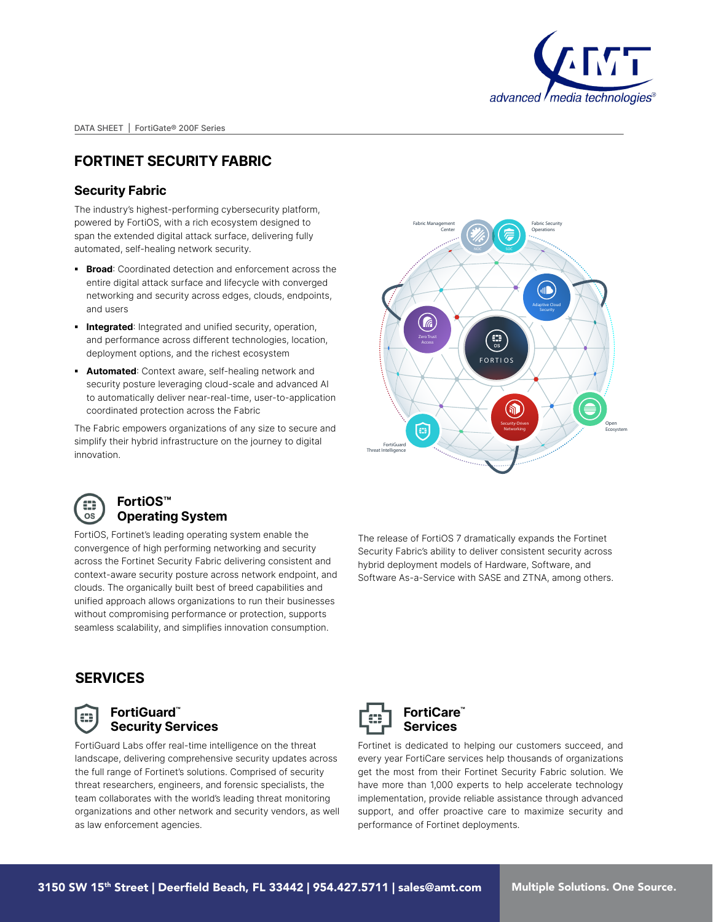

# **FORTINET SECURITY FABRIC**

#### **Security Fabric**

The industry's highest-performing cybersecurity platform, powered by FortiOS, with a rich ecosystem designed to span the extended digital attack surface, delivering fully automated, self-healing network security.

- **Broad:** Coordinated detection and enforcement across the entire digital attack surface and lifecycle with converged networking and security across edges, clouds, endpoints, and users
- **Integrated:** Integrated and unified security, operation, and performance across different technologies, location, deployment options, and the richest ecosystem
- **Automated:** Context aware, self-healing network and security posture leveraging cloud-scale and advanced AI to automatically deliver near-real-time, user-to-application coordinated protection across the Fabric

The Fabric empowers organizations of any size to secure and simplify their hybrid infrastructure on the journey to digital innovation.





#### **FortiOS™ Operating System**

FortiOS, Fortinet's leading operating system enable the convergence of high performing networking and security across the Fortinet Security Fabric delivering consistent and context-aware security posture across network endpoint, and clouds. The organically built best of breed capabilities and unified approach allows organizations to run their businesses without compromising performance or protection, supports seamless scalability, and simplifies innovation consumption.

The release of FortiOS 7 dramatically expands the Fortinet Security Fabric's ability to deliver consistent security across hybrid deployment models of Hardware, Software, and Software As-a-Service with SASE and ZTNA, among others.

## **SERVICES**



#### **FortiGuard™ Security Services**

FortiGuard Labs offer real-time intelligence on the threat landscape, delivering comprehensive security updates across the full range of Fortinet's solutions. Comprised of security threat researchers, engineers, and forensic specialists, the team collaborates with the world's leading threat monitoring organizations and other network and security vendors, as well as law enforcement agencies.



**FortiCare™ Services**

Fortinet is dedicated to helping our customers succeed, and every year FortiCare services help thousands of organizations get the most from their Fortinet Security Fabric solution. We have more than 1,000 experts to help accelerate technology implementation, provide reliable assistance through advanced support, and offer proactive care to maximize security and performance of Fortinet deployments.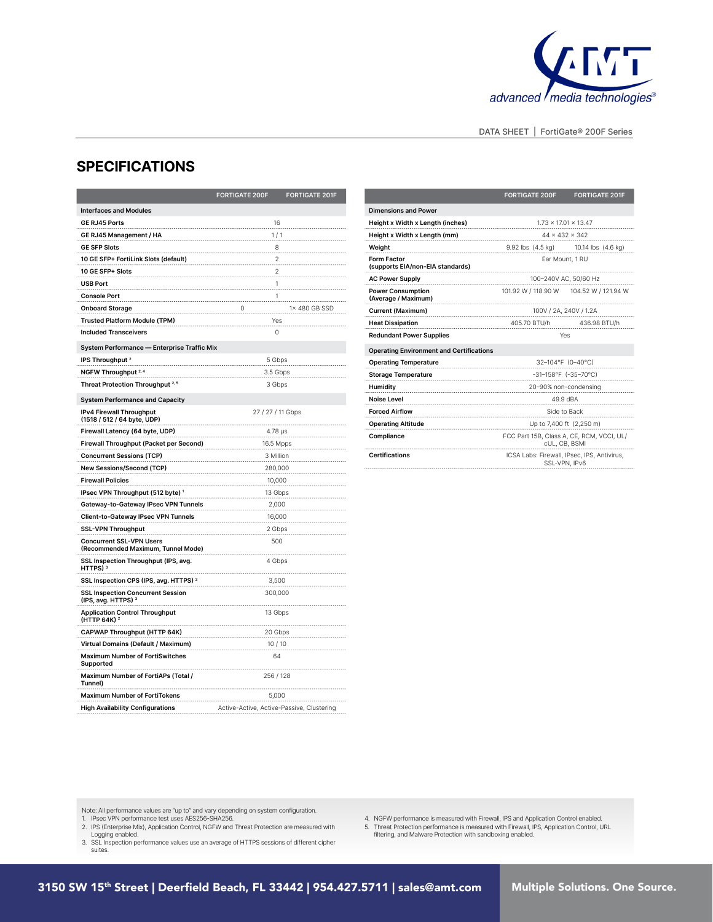

### **SPECIFICATIONS**

|                                                                       | <b>FORTIGATE 200F</b>                     | <b>FORTIGATE 201F</b> |  |
|-----------------------------------------------------------------------|-------------------------------------------|-----------------------|--|
| <b>Interfaces and Modules</b>                                         |                                           |                       |  |
| GE RJ45 Ports                                                         | 16                                        |                       |  |
| GE RJ45 Management / HA                                               | 1/1                                       |                       |  |
| <b>GE SFP Slots</b>                                                   | 8                                         |                       |  |
| 10 GE SFP+ FortiLink Slots (default)                                  | $\overline{\mathbf{c}}$                   |                       |  |
| 10 GE SFP+ Slots                                                      | $\overline{2}$                            |                       |  |
| <b>USB Port</b>                                                       | 1                                         |                       |  |
| <b>Console Port</b>                                                   | 1                                         |                       |  |
| <b>Onboard Storage</b>                                                | 0                                         | 1× 480 GB SSD         |  |
| Trusted Platform Module (TPM)                                         | Yes                                       |                       |  |
| <b>Included Transceivers</b>                                          | 0                                         |                       |  |
| System Performance - Enterprise Traffic Mix                           |                                           |                       |  |
| IPS Throughput <sup>2</sup>                                           | 5 Gbps                                    |                       |  |
| NGFW Throughput 2, 4                                                  | 3.5 Gbps                                  |                       |  |
| Threat Protection Throughput <sup>2,5</sup>                           | 3 Gbps                                    |                       |  |
| <b>System Performance and Capacity</b>                                |                                           |                       |  |
| IPv4 Firewall Throughput<br>(1518 / 512 / 64 byte, UDP)               | 27 / 27 / 11 Gbps                         |                       |  |
| Firewall Latency (64 byte, UDP)                                       | 4.78 µs                                   |                       |  |
| Firewall Throughput (Packet per Second)                               | 16.5 Mpps                                 |                       |  |
| <b>Concurrent Sessions (TCP)</b>                                      | 3 Million                                 |                       |  |
| <b>New Sessions/Second (TCP)</b>                                      | 280,000                                   |                       |  |
| <b>Firewall Policies</b>                                              | 10,000                                    |                       |  |
| IPsec VPN Throughput (512 byte) <sup>1</sup>                          | 13 Gbps                                   |                       |  |
| Gateway-to-Gateway IPsec VPN Tunnels                                  | 2,000                                     |                       |  |
| Client-to-Gateway IPsec VPN Tunnels                                   | 16,000                                    |                       |  |
| <b>SSL-VPN Throughput</b>                                             | 2 Gbps                                    |                       |  |
| <b>Concurrent SSL-VPN Users</b><br>(Recommended Maximum, Tunnel Mode) | 500                                       |                       |  |
| SSL Inspection Throughput (IPS, avg.<br>HTTPS) <sup>3</sup>           | 4 Gbps                                    |                       |  |
| SSL Inspection CPS (IPS, avg. HTTPS) 3                                | 3,500                                     |                       |  |
| <b>SSL Inspection Concurrent Session</b><br>(IPS, avg. HTTPS) 3       | 300,000                                   |                       |  |
| <b>Application Control Throughput</b><br>(HTTP 64K) 2                 | 13 Gbps                                   |                       |  |
| CAPWAP Throughput (HTTP 64K)                                          | 20 Gbps                                   |                       |  |
| Virtual Domains (Default / Maximum)                                   | 10/10                                     |                       |  |
| <b>Maximum Number of FortiSwitches</b><br>Supported                   | 64                                        |                       |  |
| Maximum Number of FortiAPs (Total /<br>Tunnel)                        | 256 / 128<br>.                            |                       |  |
| <b>Maximum Number of FortiTokens</b>                                  | 5,000                                     |                       |  |
| <b>High Availability Configurations</b>                               | Active-Active, Active-Passive, Clustering |                       |  |

|                                                 | <b>FORTIGATE 200F</b>                                        | <b>FORTIGATE 201F</b>                     |  |
|-------------------------------------------------|--------------------------------------------------------------|-------------------------------------------|--|
| <b>Dimensions and Power</b>                     |                                                              |                                           |  |
| Height x Width x Length (inches)                | $1.73 \times 17.01 \times 13.47$                             |                                           |  |
| Height x Width x Length (mm)                    | $44 \times 432 \times 342$                                   |                                           |  |
| Weight                                          |                                                              | 9.92 lbs (4.5 kg) 10.14 lbs (4.6 kg)      |  |
| Form Factor<br>(supports EIA/non-EIA standards) | Ear Mount, 1 RU<br>                                          |                                           |  |
| <b>AC Power Supply</b>                          | 100-240V AC, 50/60 Hz                                        |                                           |  |
| <b>Power Consumption</b><br>(Average / Maximum) |                                                              | 101.92 W / 118.90 W   104.52 W / 121.94 W |  |
|                                                 | 100V / 2A, 240V / 1.2A                                       |                                           |  |
| <b>Heat Dissipation</b>                         | 405.70 BTU/h 436.98 BTU/h                                    |                                           |  |
| <b>Redundant Power Supplies</b>                 | Yes                                                          |                                           |  |
| <b>Operating Environment and Certifications</b> |                                                              |                                           |  |
| <b>Operating Temperature</b>                    | 32-104°F (0-40°C)                                            |                                           |  |
| <b>Storage Temperature</b>                      | -31-158°F (-35-70°C)                                         |                                           |  |
| Humidity                                        | 20-90% non-condensing                                        |                                           |  |
| <b>Noise Level</b>                              | 49.9 dBA                                                     |                                           |  |
| <b>Forced Airflow</b>                           | Side to Back                                                 |                                           |  |
| <b>Operating Altitude</b>                       | Up to 7,400 ft (2,250 m)                                     |                                           |  |
| Compliance                                      | FCC Part 15B, Class A, CE, RCM, VCCI, UL/<br>CUL, CB, BSMI   |                                           |  |
| <b>Certifications</b>                           | ICSA Labs: Firewall, IPsec, IPS, Antivirus,<br>SSL-VPN, IPv6 |                                           |  |

Note: All performance values are "up to" and vary depending on system configuration.

1. IPsec VPN performance test uses AES256-SHA256. 2. IPS (Enterprise Mix), Application Control, NGFW and Threat Protection are measured with

Logging enabled. 3. SSL Inspection performance values use an average of HTTPS sessions of different cipher

suites.

4. NGFW performance is measured with Firewall, IPS and Application Control enabled.<br>5. Threat Protection performance is measured with Firewall, IPS, Application Control, URL<br> filtering, and Malware Protection with